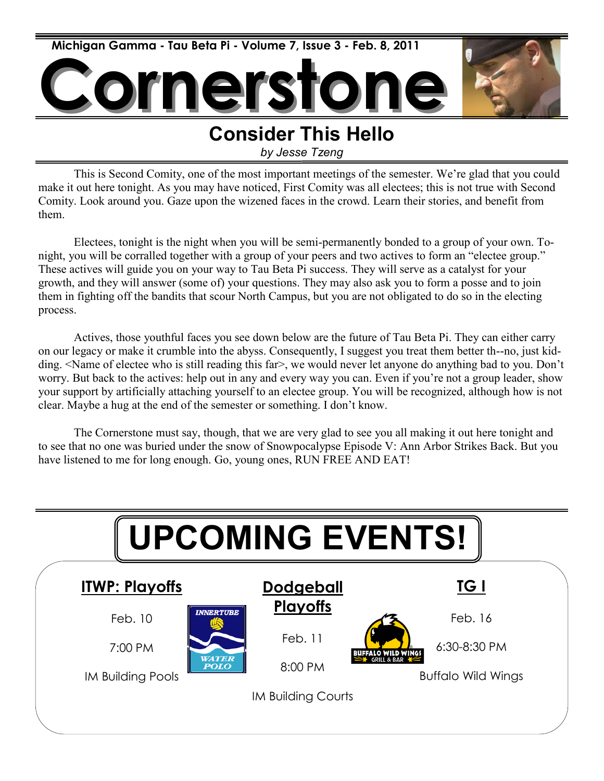

### **Consider This Hello**

*by Jesse Tzeng*

This is Second Comity, one of the most important meetings of the semester. We're glad that you could make it out here tonight. As you may have noticed, First Comity was all electees; this is not true with Second Comity. Look around you. Gaze upon the wizened faces in the crowd. Learn their stories, and benefit from them.

Electees, tonight is the night when you will be semi-permanently bonded to a group of your own. Tonight, you will be corralled together with a group of your peers and two actives to form an "electee group." These actives will guide you on your way to Tau Beta Pi success. They will serve as a catalyst for your growth, and they will answer (some of) your questions. They may also ask you to form a posse and to join them in fighting off the bandits that scour North Campus, but you are not obligated to do so in the electing process.

Actives, those youthful faces you see down below are the future of Tau Beta Pi. They can either carry on our legacy or make it crumble into the abyss. Consequently, I suggest you treat them better th--no, just kidding. <Name of electee who is still reading this far>, we would never let anyone do anything bad to you. Don't worry. But back to the actives: help out in any and every way you can. Even if you're not a group leader, show your support by artificially attaching yourself to an electee group. You will be recognized, although how is not clear. Maybe a hug at the end of the semester or something. I don't know.

The Cornerstone must say, though, that we are very glad to see you all making it out here tonight and to see that no one was buried under the snow of Snowpocalypse Episode V: Ann Arbor Strikes Back. But you have listened to me for long enough. Go, young ones, RUN FREE AND EAT!

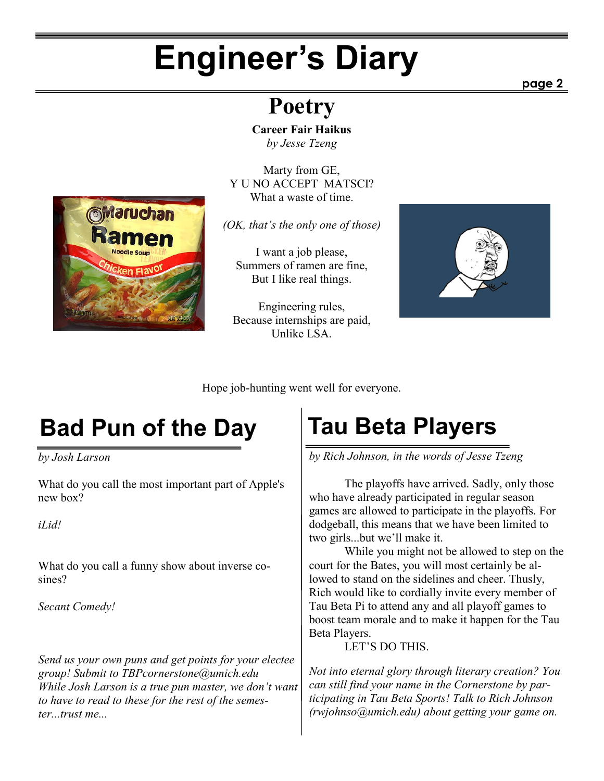## **Engineer's Diary**

### **Poetry**

**Career Fair Haikus** *by Jesse Tzeng*

Marty from GE, Y U NO ACCEPT MATSCI? What a waste of time.

*(OK, that's the only one of those)*

I want a job please, Summers of ramen are fine, But I like real things.

Engineering rules, Because internships are paid, Unlike LSA.



Hope job-hunting went well for everyone.

## **Bad Pun of the Day Tau Beta Players**

*by Josh Larson*

What do you call the most important part of Apple's new box?

*iLid!*

What do you call a funny show about inverse cosines?

*Secant Comedy!*

*Send us your own puns and get points for your electee group! Submit to TBPcornerstone@umich.edu While Josh Larson is a true pun master, we don't want to have to read to these for the rest of the semester...trust me...*

*by Rich Johnson, in the words of Jesse Tzeng*

The playoffs have arrived. Sadly, only those who have already participated in regular season games are allowed to participate in the playoffs. For dodgeball, this means that we have been limited to two girls...but we'll make it.

While you might not be allowed to step on the court for the Bates, you will most certainly be allowed to stand on the sidelines and cheer. Thusly, Rich would like to cordially invite every member of Tau Beta Pi to attend any and all playoff games to boost team morale and to make it happen for the Tau Beta Players.

LET'S DO THIS.

*Not into eternal glory through literary creation? You can still find your name in the Cornerstone by participating in Tau Beta Sports! Talk to Rich Johnson (rwjohnso@umich.edu) about getting your game on.*

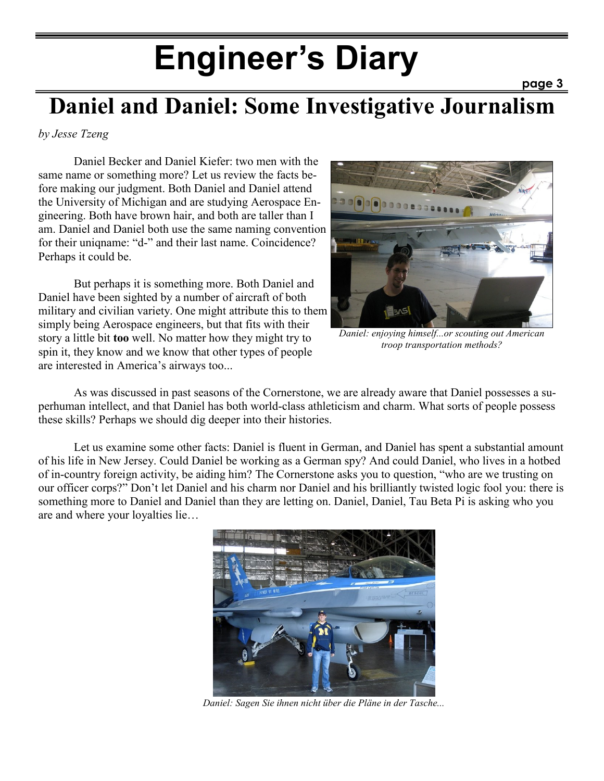## **Engineer's Diary**

### **Daniel and Daniel: Some Investigative Journalism**

*by Jesse Tzeng*

Daniel Becker and Daniel Kiefer: two men with the same name or something more? Let us review the facts before making our judgment. Both Daniel and Daniel attend the University of Michigan and are studying Aerospace Engineering. Both have brown hair, and both are taller than I am. Daniel and Daniel both use the same naming convention for their uniqname: "d-" and their last name. Coincidence? Perhaps it could be.

But perhaps it is something more. Both Daniel and Daniel have been sighted by a number of aircraft of both military and civilian variety. One might attribute this to them simply being Aerospace engineers, but that fits with their story a little bit **too** well. No matter how they might try to spin it, they know and we know that other types of people are interested in America's airways too...



**page 3**

*Daniel: enjoying himself...or scouting out American troop transportation methods?*

As was discussed in past seasons of the Cornerstone, we are already aware that Daniel possesses a superhuman intellect, and that Daniel has both world-class athleticism and charm. What sorts of people possess these skills? Perhaps we should dig deeper into their histories.

Let us examine some other facts: Daniel is fluent in German, and Daniel has spent a substantial amount of his life in New Jersey. Could Daniel be working as a German spy? And could Daniel, who lives in a hotbed of in-country foreign activity, be aiding him? The Cornerstone asks you to question, "who are we trusting on our officer corps?" Don't let Daniel and his charm nor Daniel and his brilliantly twisted logic fool you: there is something more to Daniel and Daniel than they are letting on. Daniel, Daniel, Tau Beta Pi is asking who you are and where your loyalties lie…



*Daniel: Sagen Sie ihnen nicht über die Pläne in der Tasche...*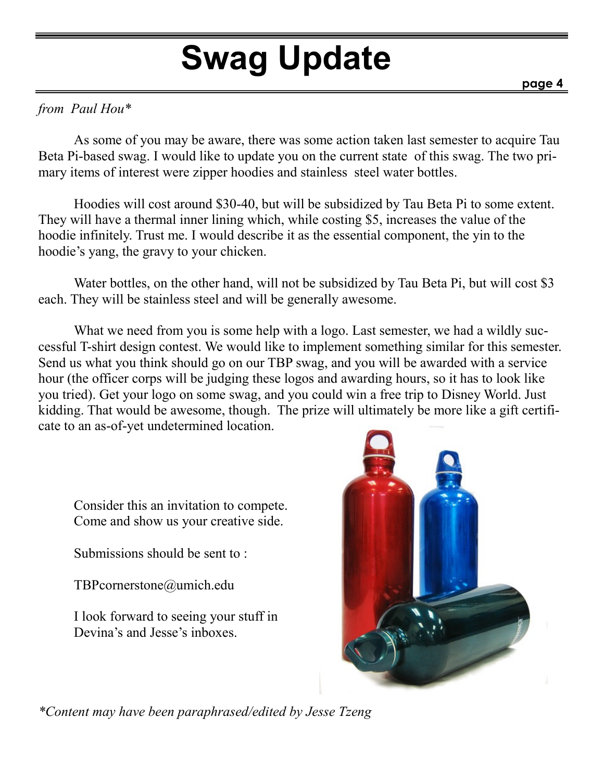# **Swag Update**

#### *from Paul Hou\**

As some of you may be aware, there was some action taken last semester to acquire Tau Beta Pi-based swag. I would like to update you on the current state of this swag. The two primary items of interest were zipper hoodies and stainless steel water bottles.

Hoodies will cost around \$30-40, but will be subsidized by Tau Beta Pi to some extent. They will have a thermal inner lining which, while costing \$5, increases the value of the hoodie infinitely. Trust me. I would describe it as the essential component, the yin to the hoodie's yang, the gravy to your chicken.

Water bottles, on the other hand, will not be subsidized by Tau Beta Pi, but will cost \$3 each. They will be stainless steel and will be generally awesome.

What we need from you is some help with a logo. Last semester, we had a wildly successful T-shirt design contest. We would like to implement something similar for this semester. Send us what you think should go on our TBP swag, and you will be awarded with a service hour (the officer corps will be judging these logos and awarding hours, so it has to look like you tried). Get your logo on some swag, and you could win a free trip to Disney World. Just kidding. That would be awesome, though. The prize will ultimately be more like a gift certificate to an as-of-yet undetermined location.

Consider this an invitation to compete. Come and show us your creative side.

Submissions should be sent to :

TBPcornerstone@umich.edu

I look forward to seeing your stuff in Devina's and Jesse's inboxes.



*\*Content may have been paraphrased/edited by Jesse Tzeng*